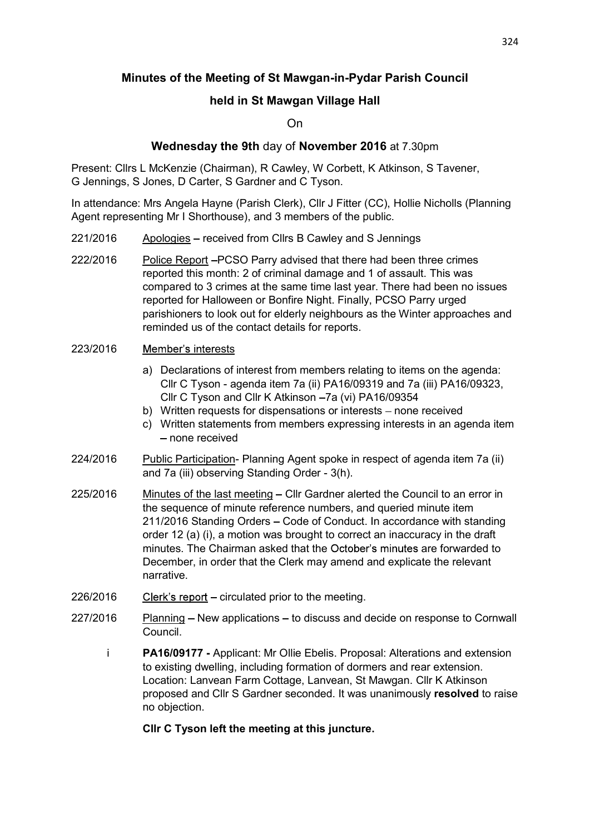# Minutes of the Meeting of St Mawgan-in-Pydar Parish Council

# held in St Mawgan Village Hall

## On

## Wednesday the 9th day of November 2016 at 7.30pm

Present: Cllrs L McKenzie (Chairman), R Cawley, W Corbett, K Atkinson, S Tavener, G Jennings, S Jones, D Carter, S Gardner and C Tyson.

In attendance: Mrs Angela Hayne (Parish Clerk), Cllr J Fitter (CC), Hollie Nicholls (Planning Agent representing Mr I Shorthouse), and 3 members of the public.

- 221/2016 Apologies received from Cllrs B Cawley and S Jennings
- 222/2016 Police Report PCSO Parry advised that there had been three crimes reported this month: 2 of criminal damage and 1 of assault. This was compared to 3 crimes at the same time last year. There had been no issues reported for Halloween or Bonfire Night. Finally, PCSO Parry urged parishioners to look out for elderly neighbours as the Winter approaches and reminded us of the contact details for reports.

#### 223/2016 Member's interests

- a) Declarations of interest from members relating to items on the agenda: Cllr C Tyson - agenda item 7a (ii) PA16/09319 and 7a (iii) PA16/09323, Cllr C Tyson and Cllr K Atkinson - 7a (vi) PA16/09354
- b) Written requests for dispensations or interests none received
- c) Written statements from members expressing interests in an agenda item - none received
- 224/2016 Public Participation- Planning Agent spoke in respect of agenda item 7a (ii) and 7a (iii) observing Standing Order - 3(h).
- 225/2016 Minutes of the last meeting Cllr Gardner alerted the Council to an error in the sequence of minute reference numbers, and queried minute item 211/2016 Standing Orders - Code of Conduct. In accordance with standing order 12 (a) (i), a motion was brought to correct an inaccuracy in the draft minutes. The Chairman asked that the October's minutes are forwarded to December, in order that the Clerk may amend and explicate the relevant narrative.
- $226/2016$  Clerk's report circulated prior to the meeting.
- 227/2016 Planning New applications to discuss and decide on response to Cornwall Council.
	- i PA16/09177 Applicant: Mr Ollie Ebelis. Proposal: Alterations and extension to existing dwelling, including formation of dormers and rear extension. Location: Lanvean Farm Cottage, Lanvean, St Mawgan. Cllr K Atkinson proposed and Cllr S Gardner seconded. It was unanimously resolved to raise no objection.

### Cllr C Tyson left the meeting at this juncture.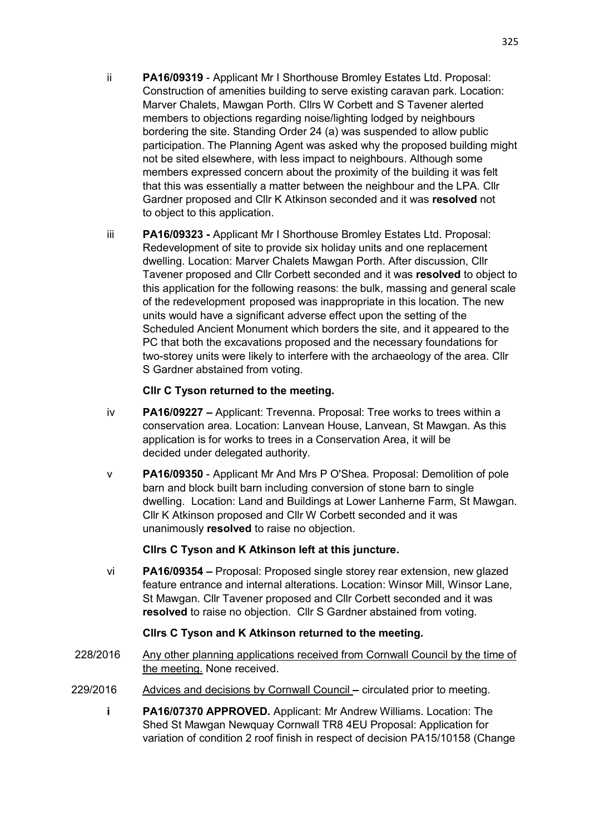- ii PA16/09319 Applicant Mr I Shorthouse Bromley Estates Ltd. Proposal: Construction of amenities building to serve existing caravan park. Location: Marver Chalets, Mawgan Porth. Cllrs W Corbett and S Tavener alerted members to objections regarding noise/lighting lodged by neighbours bordering the site. Standing Order 24 (a) was suspended to allow public participation. The Planning Agent was asked why the proposed building might not be sited elsewhere, with less impact to neighbours. Although some members expressed concern about the proximity of the building it was felt that this was essentially a matter between the neighbour and the LPA. Cllr Gardner proposed and Cllr K Atkinson seconded and it was resolved not to object to this application.
- iii PA16/09323 Applicant Mr I Shorthouse Bromley Estates Ltd. Proposal: Redevelopment of site to provide six holiday units and one replacement dwelling. Location: Marver Chalets Mawgan Porth. After discussion, Cllr Tavener proposed and Cllr Corbett seconded and it was resolved to object to this application for the following reasons: the bulk, massing and general scale of the redevelopment proposed was inappropriate in this location. The new units would have a significant adverse effect upon the setting of the Scheduled Ancient Monument which borders the site, and it appeared to the PC that both the excavations proposed and the necessary foundations for two-storey units were likely to interfere with the archaeology of the area. Cllr S Gardner abstained from voting.

## Cllr C Tyson returned to the meeting.

- iv PA16/09227 Applicant: Trevenna. Proposal: Tree works to trees within a conservation area. Location: Lanvean House, Lanvean, St Mawgan. As this application is for works to trees in a Conservation Area, it will be decided under delegated authority.
- v PA16/09350 Applicant Mr And Mrs P O'Shea. Proposal: Demolition of pole barn and block built barn including conversion of stone barn to single dwelling. Location: Land and Buildings at Lower Lanherne Farm, St Mawgan. Cllr K Atkinson proposed and Cllr W Corbett seconded and it was unanimously resolved to raise no objection.

# Cllrs C Tyson and K Atkinson left at this juncture.

vi PA16/09354 Proposal: Proposed single storey rear extension, new glazed feature entrance and internal alterations. Location: Winsor Mill, Winsor Lane, St Mawgan. Cllr Tavener proposed and Cllr Corbett seconded and it was resolved to raise no objection. Cllr S Gardner abstained from voting.

# Cllrs C Tyson and K Atkinson returned to the meeting.

- 228/2016 Any other planning applications received from Cornwall Council by the time of the meeting. None received.
- 229/2016 Advices and decisions by Cornwall Council circulated prior to meeting.
	- i PA16/07370 APPROVED. Applicant: Mr Andrew Williams. Location: The Shed St Mawgan Newquay Cornwall TR8 4EU Proposal: Application for variation of condition 2 roof finish in respect of decision PA15/10158 (Change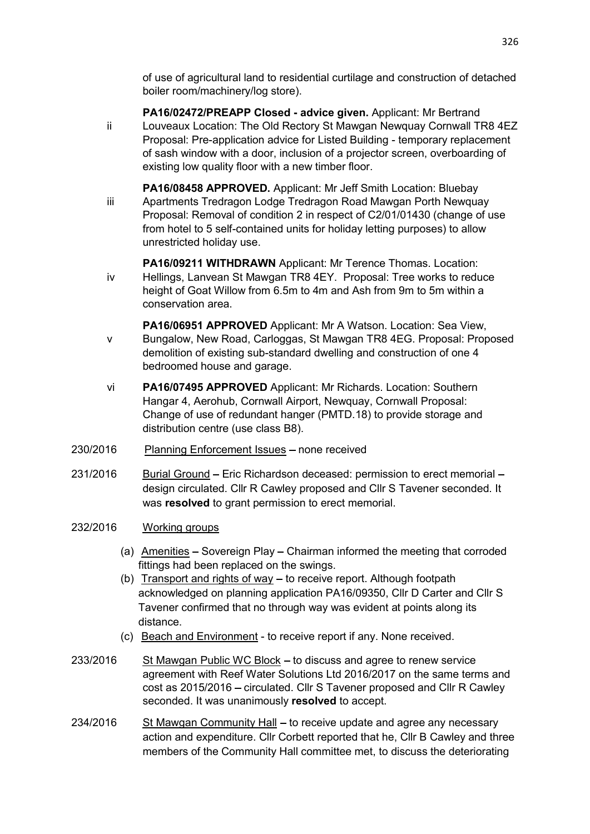of use of agricultural land to residential curtilage and construction of detached boiler room/machinery/log store).

- PA16/02472/PREAPP Closed advice given. Applicant: Mr Bertrand ii Louveaux Location: The Old Rectory St Mawgan Newquay Cornwall TR8 4EZ Proposal: Pre-application advice for Listed Building - temporary replacement of sash window with a door, inclusion of a projector screen, overboarding of existing low quality floor with a new timber floor.
- PA16/08458 APPROVED. Applicant: Mr Jeff Smith Location: Bluebay iii Apartments Tredragon Lodge Tredragon Road Mawgan Porth Newquay Proposal: Removal of condition 2 in respect of C2/01/01430 (change of use from hotel to 5 self-contained units for holiday letting purposes) to allow unrestricted holiday use.
- PA16/09211 WITHDRAWN Applicant: Mr Terence Thomas. Location: iv Hellings, Lanvean St Mawgan TR8 4EY. Proposal: Tree works to reduce height of Goat Willow from 6.5m to 4m and Ash from 9m to 5m within a conservation area.
- PA16/06951 APPROVED Applicant: Mr A Watson. Location: Sea View, v Bungalow, New Road, Carloggas, St Mawgan TR8 4EG. Proposal: Proposed demolition of existing sub-standard dwelling and construction of one 4 bedroomed house and garage.
- vi PA16/07495 APPROVED Applicant: Mr Richards. Location: Southern Hangar 4, Aerohub, Cornwall Airport, Newquay, Cornwall Proposal: Change of use of redundant hanger (PMTD.18) to provide storage and distribution centre (use class B8).
- 230/2016 Planning Enforcement Issues none received
- 231/2016 Burial Ground Eric Richardson deceased: permission to erect memorial design circulated. Cllr R Cawley proposed and Cllr S Tavener seconded. It was resolved to grant permission to erect memorial.
- 232/2016 Working groups
	- (a) Amenities  $-$  Sovereign Play  $-$  Chairman informed the meeting that corroded fittings had been replaced on the swings.
	- (b) Transport and rights of way  $-$  to receive report. Although footpath acknowledged on planning application PA16/09350, Cllr D Carter and Cllr S Tavener confirmed that no through way was evident at points along its distance.
	- (c) Beach and Environment to receive report if any. None received.
- 233/2016 St Mawgan Public WC Block to discuss and agree to renew service agreement with Reef Water Solutions Ltd 2016/2017 on the same terms and cost as 2015/2016 – circulated. Cllr S Tavener proposed and Cllr R Cawley seconded. It was unanimously resolved to accept.
- 234/2016 St Mawgan Community Hall to receive update and agree any necessary action and expenditure. Cllr Corbett reported that he, Cllr B Cawley and three members of the Community Hall committee met, to discuss the deteriorating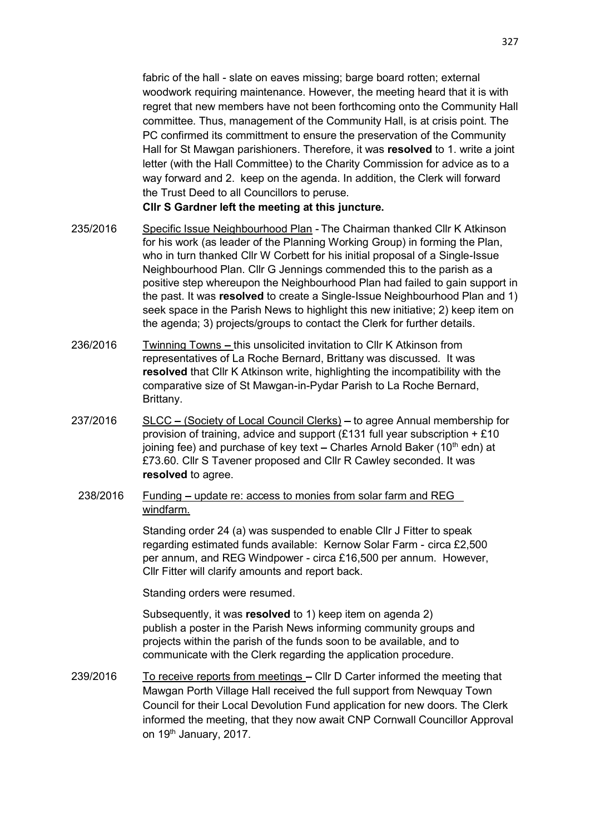fabric of the hall - slate on eaves missing; barge board rotten; external woodwork requiring maintenance. However, the meeting heard that it is with regret that new members have not been forthcoming onto the Community Hall committee. Thus, management of the Community Hall, is at crisis point. The PC confirmed its committment to ensure the preservation of the Community Hall for St Mawgan parishioners. Therefore, it was resolved to 1, write a joint letter (with the Hall Committee) to the Charity Commission for advice as to a way forward and 2. keep on the agenda. In addition, the Clerk will forward the Trust Deed to all Councillors to peruse.

Cllr S Gardner left the meeting at this juncture.

- 235/2016 Specific Issue Neighbourhood Plan The Chairman thanked Cllr K Atkinson for his work (as leader of the Planning Working Group) in forming the Plan, who in turn thanked Cllr W Corbett for his initial proposal of a Single-Issue Neighbourhood Plan. Cllr G Jennings commended this to the parish as a positive step whereupon the Neighbourhood Plan had failed to gain support in the past. It was resolved to create a Single-Issue Neighbourhood Plan and 1) seek space in the Parish News to highlight this new initiative; 2) keep item on the agenda; 3) projects/groups to contact the Clerk for further details.
- 236/2016 Twinning Towns this unsolicited invitation to Cllr K Atkinson from representatives of La Roche Bernard, Brittany was discussed. It was resolved that Cllr K Atkinson write, highlighting the incompatibility with the comparative size of St Mawgan-in-Pydar Parish to La Roche Bernard, Brittany.
- 237/2016 SLCC (Society of Local Council Clerks) to agree Annual membership for provision of training, advice and support (£131 full year subscription  $+ £10$ joining fee) and purchase of key text – Charles Arnold Baker (10<sup>th</sup> edn) at £73.60. Cllr S Tavener proposed and Cllr R Cawley seconded. It was resolved to agree.
	- 238/2016 Funding update re: access to monies from solar farm and REG windfarm.

Standing order 24 (a) was suspended to enable Cllr J Fitter to speak regarding estimated funds available: Kernow Solar Farm - circa £2,500 per annum, and REG Windpower - circa £16,500 per annum. However, Cllr Fitter will clarify amounts and report back.

Standing orders were resumed.

Subsequently, it was resolved to 1) keep item on agenda 2) publish a poster in the Parish News informing community groups and projects within the parish of the funds soon to be available, and to communicate with the Clerk regarding the application procedure.

239/2016 To receive reports from meetings - Cllr D Carter informed the meeting that Mawgan Porth Village Hall received the full support from Newquay Town Council for their Local Devolution Fund application for new doors. The Clerk informed the meeting, that they now await CNP Cornwall Councillor Approval on 19<sup>th</sup> January, 2017.